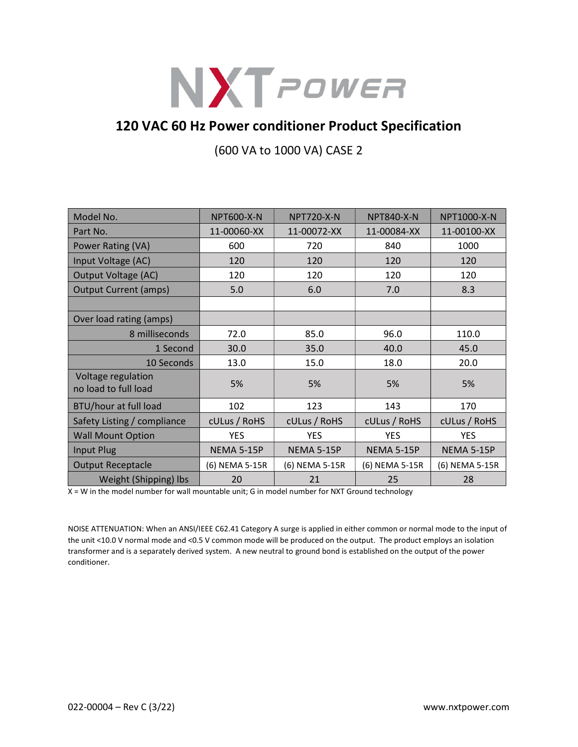

## 120 VAC 60 Hz Power conditioner Product Specification

(600 VA to 1000 VA) CASE 2

| Model No.                                  | <b>NPT600-X-N</b> | <b>NPT720-X-N</b> | <b>NPT840-X-N</b> | NPT1000-X-N       |
|--------------------------------------------|-------------------|-------------------|-------------------|-------------------|
| Part No.                                   | 11-00060-XX       | 11-00072-XX       | 11-00084-XX       | 11-00100-XX       |
| Power Rating (VA)                          | 600               | 720               | 840               | 1000              |
| Input Voltage (AC)                         | 120               | 120               | 120               | 120               |
| <b>Output Voltage (AC)</b>                 | 120               | 120               | 120               | 120               |
| <b>Output Current (amps)</b>               | 5.0               | 6.0               | 7.0               | 8.3               |
|                                            |                   |                   |                   |                   |
| Over load rating (amps)                    |                   |                   |                   |                   |
| 8 milliseconds                             | 72.0              | 85.0              | 96.0              | 110.0             |
| 1 Second                                   | 30.0              | 35.0              | 40.0              | 45.0              |
| 10 Seconds                                 | 13.0              | 15.0              | 18.0              | 20.0              |
| Voltage regulation<br>no load to full load | 5%                | 5%                | 5%                | 5%                |
| BTU/hour at full load                      | 102               | 123               | 143               | 170               |
| Safety Listing / compliance                | cULus / RoHS      | cULus / RoHS      | cULus / RoHS      | cULus / RoHS      |
| <b>Wall Mount Option</b>                   | <b>YES</b>        | <b>YES</b>        | <b>YES</b>        | <b>YES</b>        |
| Input Plug                                 | NEMA 5-15P        | NEMA 5-15P        | <b>NEMA 5-15P</b> | <b>NEMA 5-15P</b> |
| <b>Output Receptacle</b>                   | (6) NEMA 5-15R    | (6) NEMA 5-15R    | (6) NEMA 5-15R    | (6) NEMA 5-15R    |
| Weight (Shipping) lbs                      | 20                | 21                | 25                | 28                |

X = W in the model number for wall mountable unit; G in model number for NXT Ground technology

NOISE ATTENUATION: When an ANSI/IEEE C62.41 Category A surge is applied in either common or normal mode to the input of the unit <10.0 V normal mode and <0.5 V common mode will be produced on the output. The product employs an isolation transformer and is a separately derived system. A new neutral to ground bond is established on the output of the power conditioner.